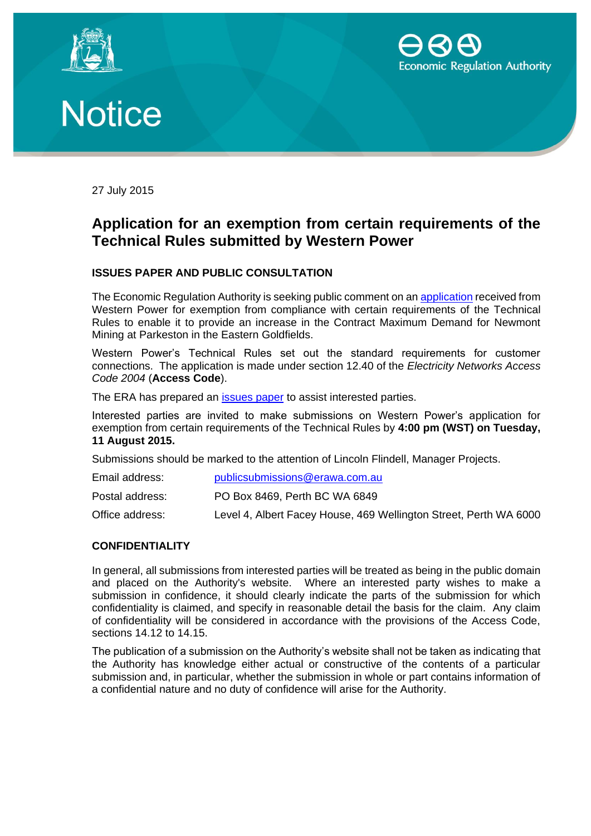





27 July 2015

## **Application for an exemption from certain requirements of the Technical Rules submitted by Western Power**

### **ISSUES PAPER AND PUBLIC CONSULTATION**

The Economic Regulation Authority is seeking public comment on an [application](https://www.erawa.com.au/cproot/13790/2/Western%20Power%20application%20for%20exemption%20from%20the%20Technical%20Rules%20for%20Newmont%20Mining%20Services.pdf) received from Western Power for exemption from compliance with certain requirements of the Technical Rules to enable it to provide an increase in the Contract Maximum Demand for Newmont Mining at Parkeston in the Eastern Goldfields.

Western Power's Technical Rules set out the standard requirements for customer connections. The application is made under section 12.40 of the *Electricity Networks Access Code 2004* (**Access Code**).

The ERA has prepared an *issues paper* to assist interested parties.

Interested parties are invited to make submissions on Western Power's application for exemption from certain requirements of the Technical Rules by **4:00 pm (WST) on Tuesday, 11 August 2015.** 

Submissions should be marked to the attention of Lincoln Flindell, Manager Projects.

| Email address:  | publicsubmissions@erawa.com.au                                    |
|-----------------|-------------------------------------------------------------------|
| Postal address: | PO Box 8469, Perth BC WA 6849                                     |
| Office address: | Level 4, Albert Facey House, 469 Wellington Street, Perth WA 6000 |

#### **CONFIDENTIALITY**

In general, all submissions from interested parties will be treated as being in the public domain and placed on the Authority's website. Where an interested party wishes to make a submission in confidence, it should clearly indicate the parts of the submission for which confidentiality is claimed, and specify in reasonable detail the basis for the claim. Any claim of confidentiality will be considered in accordance with the provisions of the Access Code, sections 14.12 to 14.15.

The publication of a submission on the Authority's website shall not be taken as indicating that the Authority has knowledge either actual or constructive of the contents of a particular submission and, in particular, whether the submission in whole or part contains information of a confidential nature and no duty of confidence will arise for the Authority.